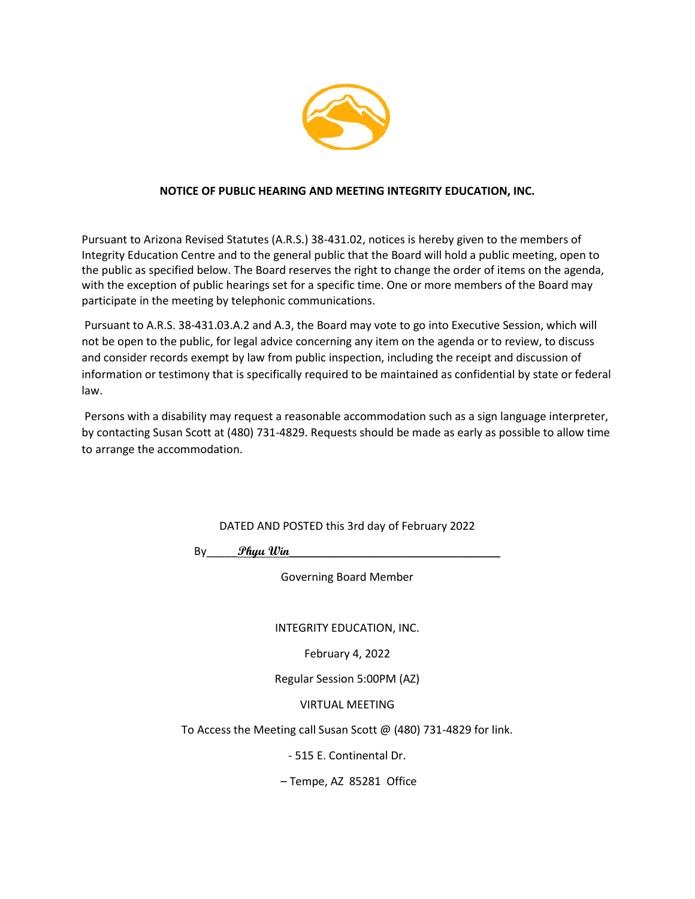

#### **NOTICE OF PUBLIC HEARING AND MEETING INTEGRITY EDUCATION, INC.**

Pursuant to Arizona Revised Statutes (A.R.S.) 38-431.02, notices is hereby given to the members of Integrity Education Centre and to the general public that the Board will hold a public meeting, open to the public as specified below. The Board reserves the right to change the order of items on the agenda, with the exception of public hearings set for a specific time. One or more members of the Board may participate in the meeting by telephonic communications.

Pursuant to A.R.S. 38-431.03.A.2 and A.3, the Board may vote to go into Executive Session, which will not be open to the public, for legal advice concerning any item on the agenda or to review, to discuss and consider records exempt by law from public inspection, including the receipt and discussion of information or testimony that is specifically required to be maintained as confidential by state or federal law.

Persons with a disability may request a reasonable accommodation such as a sign language interpreter, by contacting Susan Scott at (480) 731-4829. Requests should be made as early as possible to allow time to arrange the accommodation.

DATED AND POSTED this 3rd day of February 2022

By\_\_\_\_\_**Phyu Win**\_\_\_\_\_\_\_\_\_\_\_\_\_\_\_\_\_\_\_\_\_\_\_\_\_\_\_\_\_\_\_\_\_\_

Governing Board Member

INTEGRITY EDUCATION, INC.

February 4, 2022

Regular Session 5:00PM (AZ)

VIRTUAL MEETING

To Access the Meeting call Susan Scott @ (480) 731-4829 for link.

- 515 E. Continental Dr.

– Tempe, AZ 85281 Office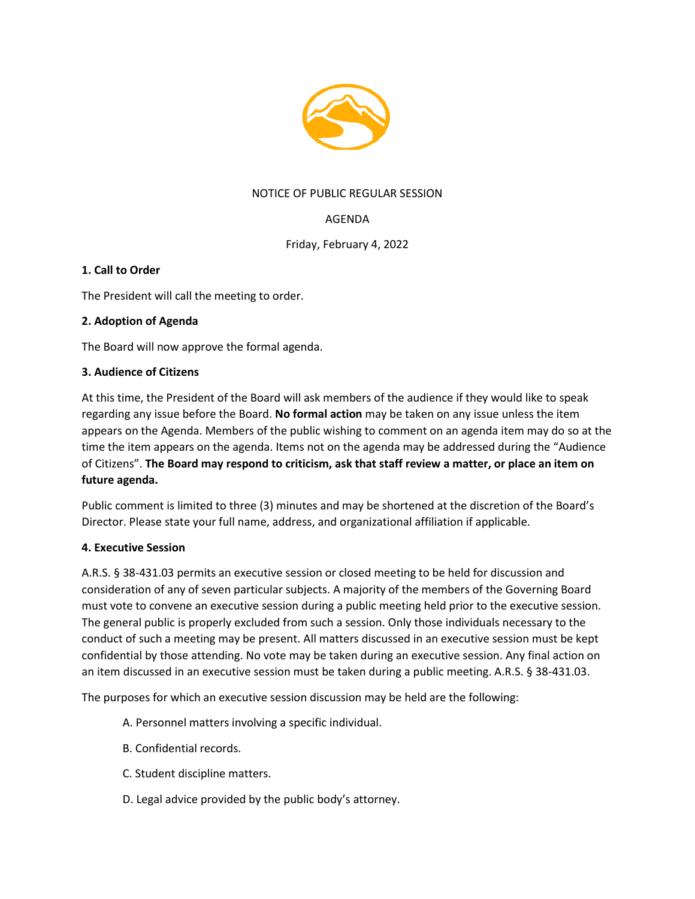

## NOTICE OF PUBLIC REGULAR SESSION

# AGENDA

### Friday, February 4, 2022

### **1. Call to Order**

The President will call the meeting to order.

### **2. Adoption of Agenda**

The Board will now approve the formal agenda.

#### **3. Audience of Citizens**

At this time, the President of the Board will ask members of the audience if they would like to speak regarding any issue before the Board. **No formal action** may be taken on any issue unless the item appears on the Agenda. Members of the public wishing to comment on an agenda item may do so at the time the item appears on the agenda. Items not on the agenda may be addressed during the "Audience of Citizens". **The Board may respond to criticism, ask that staff review a matter, or place an item on future agenda.**

Public comment is limited to three (3) minutes and may be shortened at the discretion of the Board's Director. Please state your full name, address, and organizational affiliation if applicable.

#### **4. Executive Session**

A.R.S. § 38-431.03 permits an executive session or closed meeting to be held for discussion and consideration of any of seven particular subjects. A majority of the members of the Governing Board must vote to convene an executive session during a public meeting held prior to the executive session. The general public is properly excluded from such a session. Only those individuals necessary to the conduct of such a meeting may be present. All matters discussed in an executive session must be kept confidential by those attending. No vote may be taken during an executive session. Any final action on an item discussed in an executive session must be taken during a public meeting. A.R.S. § 38-431.03.

The purposes for which an executive session discussion may be held are the following:

- A. Personnel matters involving a specific individual.
- B. Confidential records.
- C. Student discipline matters.
- D. Legal advice provided by the public body's attorney.